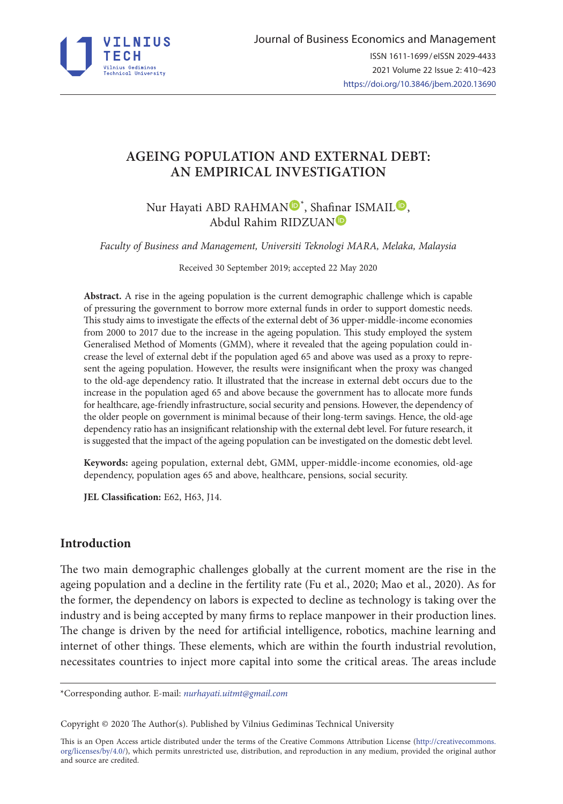

# **AGEING POPULATION AND EXTERNAL DEBT: AN EMPIRICAL INVESTIGATION**

[N](https://orcid.org/0000-0002-1086-9792)ur Hayati ABD RAHMAN<sup>D\*</sup>, Shafinar ISMAI[L](https://orcid.org/0000-0002-0339-0003)<sup>D</sup>, Abdul Rahim RIDZUA[N](https://orcid.org/0000-0002-1510-895X)

*Faculty of Business and Management, Universiti Teknologi MARA, Melaka, Malaysia*

Received 30 September 2019; accepted 22 May 2020

**Abstract.** A rise in the ageing population is the current demographic challenge which is capable of pressuring the government to borrow more external funds in order to support domestic needs. This study aims to investigate the effects of the external debt of 36 upper-middle-income economies from 2000 to 2017 due to the increase in the ageing population. This study employed the system Generalised Method of Moments (GMM), where it revealed that the ageing population could increase the level of external debt if the population aged 65 and above was used as a proxy to represent the ageing population. However, the results were insignificant when the proxy was changed to the old-age dependency ratio. It illustrated that the increase in external debt occurs due to the increase in the population aged 65 and above because the government has to allocate more funds for healthcare, age-friendly infrastructure, social security and pensions. However, the dependency of the older people on government is minimal because of their long-term savings. Hence, the old-age dependency ratio has an insignificant relationship with the external debt level. For future research, it is suggested that the impact of the ageing population can be investigated on the domestic debt level.

**Keywords:** ageing population, external debt, GMM, upper-middle-income economies, old-age dependency, population ages 65 and above, healthcare, pensions, social security.

**JEL Classification:** E62, H63, J14.

### **Introduction**

The two main demographic challenges globally at the current moment are the rise in the ageing population and a decline in the fertility rate (Fu et al., 2020; Mao et al., 2020). As for the former, the dependency on labors is expected to decline as technology is taking over the industry and is being accepted by many firms to replace manpower in their production lines. The change is driven by the need for artificial intelligence, robotics, machine learning and internet of other things. These elements, which are within the fourth industrial revolution, necessitates countries to inject more capital into some the critical areas. The areas include

\*Corresponding author. E-mail: *nurhayati.uitmt@gmail.com*

Copyright © 2020 The Author(s). Published by Vilnius Gediminas Technical University

This is an Open Access article distributed under the terms of the Creative Commons Attribution License (http://creativecommons. org/licenses/by/4.0/), which permits unrestricted use, distribution, and reproduction in any medium, provided the original author and source are credited.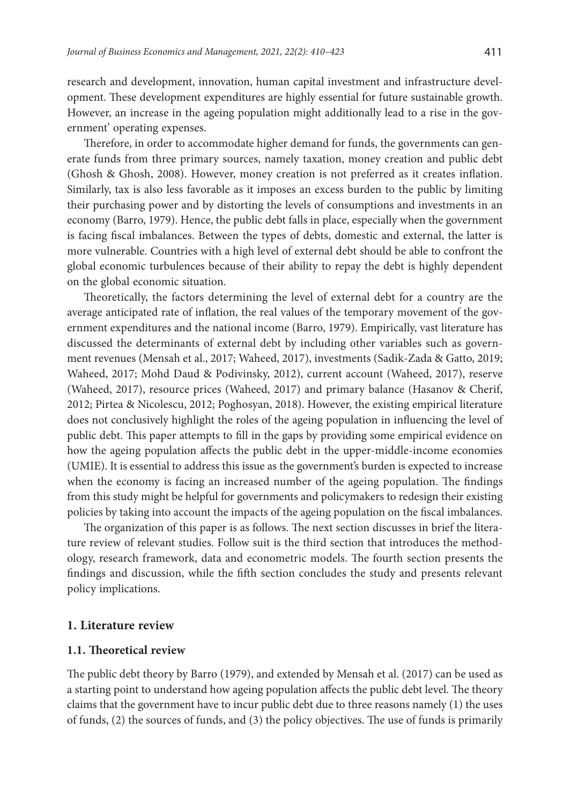research and development, innovation, human capital investment and infrastructure development. These development expenditures are highly essential for future sustainable growth. However, an increase in the ageing population might additionally lead to a rise in the government' operating expenses.

Therefore, in order to accommodate higher demand for funds, the governments can generate funds from three primary sources, namely taxation, money creation and public debt (Ghosh & Ghosh, 2008). However, money creation is not preferred as it creates inflation. Similarly, tax is also less favorable as it imposes an excess burden to the public by limiting their purchasing power and by distorting the levels of consumptions and investments in an economy (Barro, 1979). Hence, the public debt falls in place, especially when the government is facing fiscal imbalances. Between the types of debts, domestic and external, the latter is more vulnerable. Countries with a high level of external debt should be able to confront the global economic turbulences because of their ability to repay the debt is highly dependent on the global economic situation.

Theoretically, the factors determining the level of external debt for a country are the average anticipated rate of inflation, the real values of the temporary movement of the government expenditures and the national income (Barro, 1979). Empirically, vast literature has discussed the determinants of external debt by including other variables such as government revenues (Mensah et al., 2017; Waheed, 2017), investments (Sadik-Zada & Gatto, 2019; Waheed, 2017; Mohd Daud & Podivinsky, 2012), current account (Waheed, 2017), reserve (Waheed, 2017), resource prices (Waheed, 2017) and primary balance (Hasanov & Cherif, 2012; Pirtea & Nicolescu, 2012; Poghosyan, 2018). However, the existing empirical literature does not conclusively highlight the roles of the ageing population in influencing the level of public debt. This paper attempts to fill in the gaps by providing some empirical evidence on how the ageing population affects the public debt in the upper-middle-income economies (UMIE). It is essential to address this issue as the government's burden is expected to increase when the economy is facing an increased number of the ageing population. The findings from this study might be helpful for governments and policymakers to redesign their existing policies by taking into account the impacts of the ageing population on the fiscal imbalances.

The organization of this paper is as follows. The next section discusses in brief the literature review of relevant studies. Follow suit is the third section that introduces the methodology, research framework, data and econometric models. The fourth section presents the findings and discussion, while the fifth section concludes the study and presents relevant policy implications.

#### **1. Literature review**

## **1.1. Theoretical review**

The public debt theory by Barro (1979), and extended by Mensah et al. (2017) can be used as a starting point to understand how ageing population affects the public debt level. The theory claims that the government have to incur public debt due to three reasons namely (1) the uses of funds, (2) the sources of funds, and (3) the policy objectives. The use of funds is primarily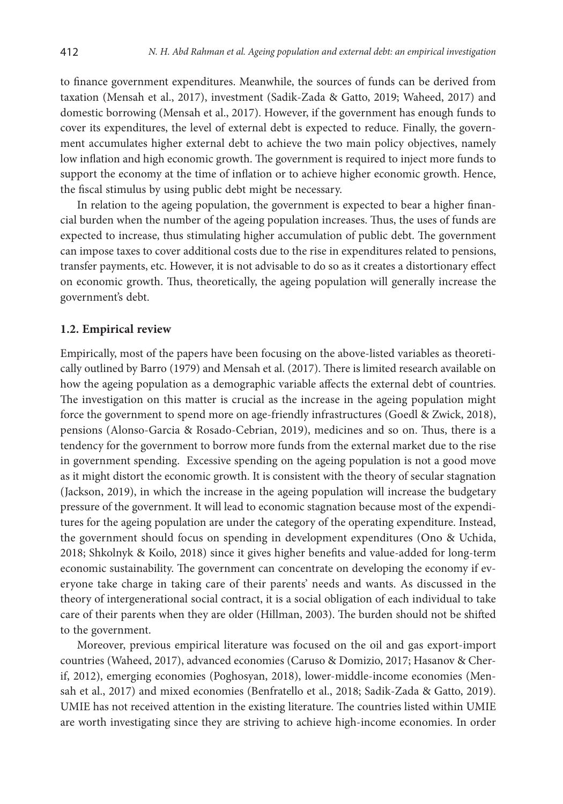to finance government expenditures. Meanwhile, the sources of funds can be derived from taxation (Mensah et al., 2017), investment (Sadik-Zada & Gatto, 2019; Waheed, 2017) and domestic borrowing (Mensah et al., 2017). However, if the government has enough funds to cover its expenditures, the level of external debt is expected to reduce. Finally, the government accumulates higher external debt to achieve the two main policy objectives, namely low inflation and high economic growth. The government is required to inject more funds to support the economy at the time of inflation or to achieve higher economic growth. Hence, the fiscal stimulus by using public debt might be necessary.

In relation to the ageing population, the government is expected to bear a higher financial burden when the number of the ageing population increases. Thus, the uses of funds are expected to increase, thus stimulating higher accumulation of public debt. The government can impose taxes to cover additional costs due to the rise in expenditures related to pensions, transfer payments, etc. However, it is not advisable to do so as it creates a distortionary effect on economic growth. Thus, theoretically, the ageing population will generally increase the government's debt.

#### **1.2. Empirical review**

Empirically, most of the papers have been focusing on the above-listed variables as theoretically outlined by Barro (1979) and Mensah et al. (2017). There is limited research available on how the ageing population as a demographic variable affects the external debt of countries. The investigation on this matter is crucial as the increase in the ageing population might force the government to spend more on age-friendly infrastructures (Goedl & Zwick, 2018), pensions (Alonso-Garcia & Rosado-Cebrian, 2019), medicines and so on. Thus, there is a tendency for the government to borrow more funds from the external market due to the rise in government spending. Excessive spending on the ageing population is not a good move as it might distort the economic growth. It is consistent with the theory of secular stagnation (Jackson, 2019), in which the increase in the ageing population will increase the budgetary pressure of the government. It will lead to economic stagnation because most of the expenditures for the ageing population are under the category of the operating expenditure. Instead, the government should focus on spending in development expenditures (Ono & Uchida, 2018; Shkolnyk & Koilo, 2018) since it gives higher benefits and value-added for long-term economic sustainability. The government can concentrate on developing the economy if everyone take charge in taking care of their parents' needs and wants. As discussed in the theory of intergenerational social contract, it is a social obligation of each individual to take care of their parents when they are older (Hillman, 2003). The burden should not be shifted to the government.

Moreover, previous empirical literature was focused on the oil and gas export-import countries (Waheed, 2017), advanced economies (Caruso & Domizio, 2017; Hasanov & Cherif, 2012), emerging economies (Poghosyan, 2018), lower-middle-income economies (Mensah et al., 2017) and mixed economies (Benfratello et al., 2018; Sadik-Zada & Gatto, 2019). UMIE has not received attention in the existing literature. The countries listed within UMIE are worth investigating since they are striving to achieve high-income economies. In order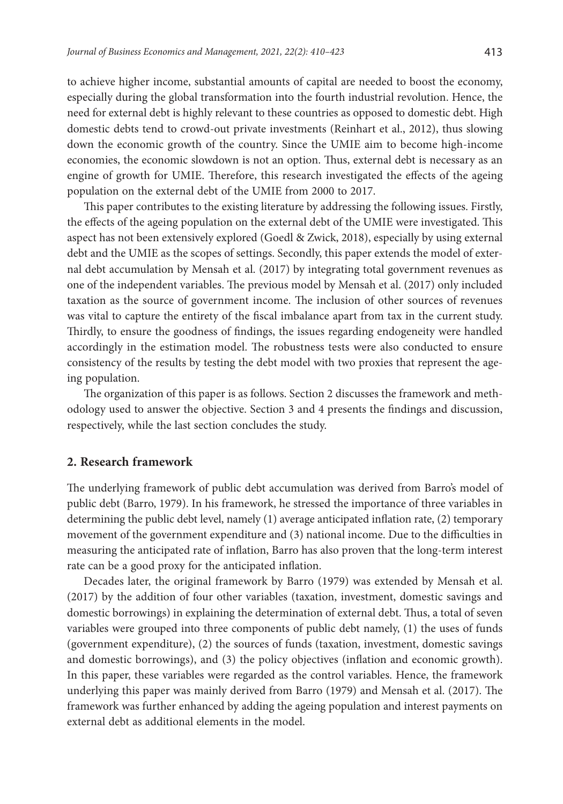to achieve higher income, substantial amounts of capital are needed to boost the economy, especially during the global transformation into the fourth industrial revolution. Hence, the need for external debt is highly relevant to these countries as opposed to domestic debt. High domestic debts tend to crowd-out private investments (Reinhart et al., 2012), thus slowing down the economic growth of the country. Since the UMIE aim to become high-income economies, the economic slowdown is not an option. Thus, external debt is necessary as an engine of growth for UMIE. Therefore, this research investigated the effects of the ageing population on the external debt of the UMIE from 2000 to 2017.

This paper contributes to the existing literature by addressing the following issues. Firstly, the effects of the ageing population on the external debt of the UMIE were investigated. This aspect has not been extensively explored (Goedl & Zwick, 2018), especially by using external debt and the UMIE as the scopes of settings. Secondly, this paper extends the model of external debt accumulation by Mensah et al. (2017) by integrating total government revenues as one of the independent variables. The previous model by Mensah et al. (2017) only included taxation as the source of government income. The inclusion of other sources of revenues was vital to capture the entirety of the fiscal imbalance apart from tax in the current study. Thirdly, to ensure the goodness of findings, the issues regarding endogeneity were handled accordingly in the estimation model. The robustness tests were also conducted to ensure consistency of the results by testing the debt model with two proxies that represent the ageing population.

The organization of this paper is as follows. Section 2 discusses the framework and methodology used to answer the objective. Section 3 and 4 presents the findings and discussion, respectively, while the last section concludes the study.

#### **2. Research framework**

The underlying framework of public debt accumulation was derived from Barro's model of public debt (Barro, 1979). In his framework, he stressed the importance of three variables in determining the public debt level, namely (1) average anticipated inflation rate, (2) temporary movement of the government expenditure and (3) national income. Due to the difficulties in measuring the anticipated rate of inflation, Barro has also proven that the long-term interest rate can be a good proxy for the anticipated inflation.

Decades later, the original framework by Barro (1979) was extended by Mensah et al. (2017) by the addition of four other variables (taxation, investment, domestic savings and domestic borrowings) in explaining the determination of external debt. Thus, a total of seven variables were grouped into three components of public debt namely, (1) the uses of funds (government expenditure), (2) the sources of funds (taxation, investment, domestic savings and domestic borrowings), and (3) the policy objectives (inflation and economic growth). In this paper, these variables were regarded as the control variables. Hence, the framework underlying this paper was mainly derived from Barro (1979) and Mensah et al. (2017). The framework was further enhanced by adding the ageing population and interest payments on external debt as additional elements in the model.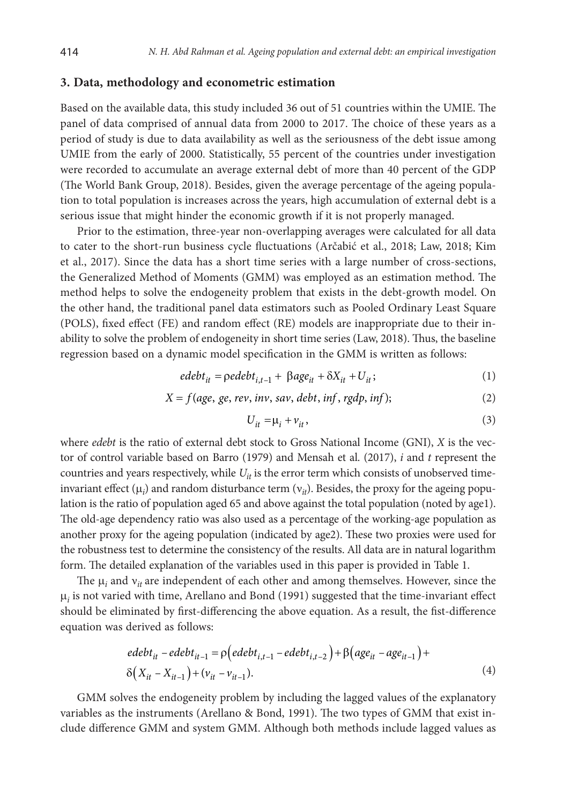#### **3. Data, methodology and econometric estimation**

Based on the available data, this study included 36 out of 51 countries within the UMIE. The panel of data comprised of annual data from 2000 to 2017. The choice of these years as a period of study is due to data availability as well as the seriousness of the debt issue among UMIE from the early of 2000. Statistically, 55 percent of the countries under investigation were recorded to accumulate an average external debt of more than 40 percent of the GDP (The World Bank Group, 2018). Besides, given the average percentage of the ageing population to total population is increases across the years, high accumulation of external debt is a serious issue that might hinder the economic growth if it is not properly managed.

Prior to the estimation, three-year non-overlapping averages were calculated for all data to cater to the short-run business cycle fluctuations (Arčabić et al., 2018; Law, 2018; Kim et al., 2017). Since the data has a short time series with a large number of cross-sections, the Generalized Method of Moments (GMM) was employed as an estimation method. The method helps to solve the endogeneity problem that exists in the debt-growth model. On the other hand, the traditional panel data estimators such as Pooled Ordinary Least Square (POLS), fixed effect (FE) and random effect (RE) models are inappropriate due to their inability to solve the problem of endogeneity in short time series (Law, 2018). Thus, the baseline regression based on a dynamic model specification in the GMM is written as follows:

$$
edebt_{it} = \rho edebt_{i,t-1} + \beta age_{it} + \delta X_{it} + U_{it};
$$
\n(1)

$$
X = f(age, ge, rev, inv, sav, debt, inf, rgdp, inf); \tag{2}
$$

$$
U_{it} = \mu_i + \nu_{it},\tag{3}
$$

where *edebt* is the ratio of external debt stock to Gross National Income (GNI), *X* is the vector of control variable based on Barro (1979) and Mensah et al. (2017), *i* and *t* represent the countries and years respectively, while  $U_{it}$  is the error term which consists of unobserved timeinvariant effect  $(\mu_i)$  and random disturbance term  $(v_{it})$ . Besides, the proxy for the ageing population is the ratio of population aged 65 and above against the total population (noted by age1). The old-age dependency ratio was also used as a percentage of the working-age population as another proxy for the ageing population (indicated by age2). These two proxies were used for the robustness test to determine the consistency of the results. All data are in natural logarithm form. The detailed explanation of the variables used in this paper is provided in Table 1.

The  $\mu_i$  and  $v_{it}$  are independent of each other and among themselves. However, since the  $\mu_i$  is not varied with time, Arellano and Bond (1991) suggested that the time-invariant effect should be eliminated by first-differencing the above equation. As a result, the fist-difference equation was derived as follows:

$$
edebt_{it} - edebt_{it-1} = \rho \left( edebt_{i,t-1} - edebt_{i,t-2} \right) + \beta \left( age_{it} - age_{it-1} \right) + \delta \left( X_{it} - X_{it-1} \right) + \left( v_{it} - v_{it-1} \right).
$$
\n(4)

GMM solves the endogeneity problem by including the lagged values of the explanatory variables as the instruments (Arellano & Bond, 1991). The two types of GMM that exist include difference GMM and system GMM. Although both methods include lagged values as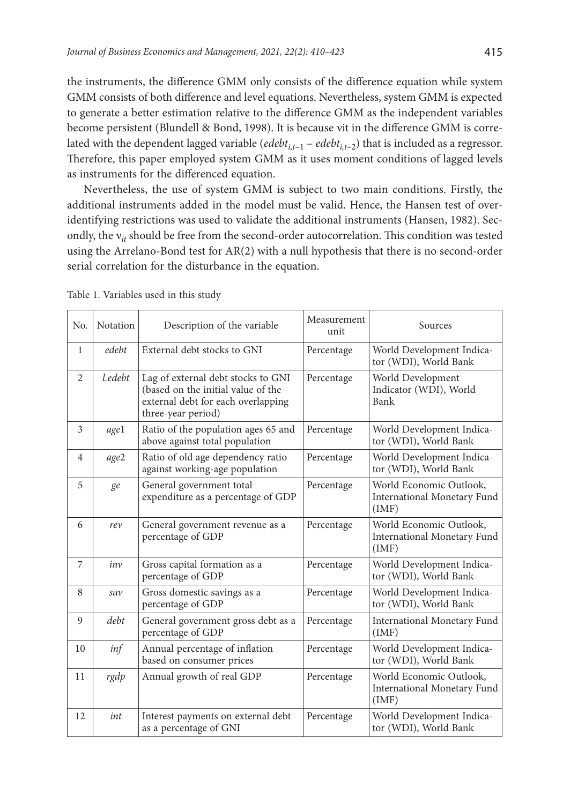the instruments, the difference GMM only consists of the difference equation while system GMM consists of both difference and level equations. Nevertheless, system GMM is expected to generate a better estimation relative to the difference GMM as the independent variables become persistent (Blundell & Bond, 1998). It is because νit in the difference GMM is correlated with the dependent lagged variable ( $edebt_{i,t-1}$  –  $edebt_{i,t-2}$ ) that is included as a regressor. Therefore, this paper employed system GMM as it uses moment conditions of lagged levels as instruments for the differenced equation.

Nevertheless, the use of system GMM is subject to two main conditions. Firstly, the additional instruments added in the model must be valid. Hence, the Hansen test of overidentifying restrictions was used to validate the additional instruments (Hansen, 1982). Secondly, the v<sub>it</sub> should be free from the second-order autocorrelation. This condition was tested using the Arrelano-Bond test for AR(2) with a null hypothesis that there is no second-order serial correlation for the disturbance in the equation.

| No.            | <b>Notation</b> | Description of the variable                                                                                                          | Measurement<br>unit | Sources                                                         |
|----------------|-----------------|--------------------------------------------------------------------------------------------------------------------------------------|---------------------|-----------------------------------------------------------------|
| $\mathbf{1}$   | edebt           | External debt stocks to GNI                                                                                                          | Percentage          | World Development Indica-<br>tor (WDI), World Bank              |
| $\overline{2}$ | l.edebt         | Lag of external debt stocks to GNI<br>(based on the initial value of the<br>external debt for each overlapping<br>three-year period) | Percentage          | World Development<br>Indicator (WDI), World<br>Bank             |
| 3              | age1            | Ratio of the population ages 65 and<br>above against total population                                                                | Percentage          | World Development Indica-<br>tor (WDI), World Bank              |
| $\overline{4}$ | age2            | Ratio of old age dependency ratio<br>against working-age population                                                                  | Percentage          | World Development Indica-<br>tor (WDI), World Bank              |
| 5              | ge              | General government total<br>expenditure as a percentage of GDP                                                                       | Percentage          | World Economic Outlook,<br>International Monetary Fund<br>(IMF) |
| 6              | rev             | General government revenue as a<br>percentage of GDP                                                                                 | Percentage          | World Economic Outlook,<br>International Monetary Fund<br>(IMF) |
| 7              | inv             | Gross capital formation as a<br>percentage of GDP                                                                                    | Percentage          | World Development Indica-<br>tor (WDI), World Bank              |
| 8              | sav             | Gross domestic savings as a<br>percentage of GDP                                                                                     | Percentage          | World Development Indica-<br>tor (WDI), World Bank              |
| 9              | debt            | General government gross debt as a<br>percentage of GDP                                                                              | Percentage          | International Monetary Fund<br>(IMF)                            |
| 10             | inf             | Annual percentage of inflation<br>based on consumer prices                                                                           | Percentage          | World Development Indica-<br>tor (WDI), World Bank              |
| 11             | rgdp            | Annual growth of real GDP                                                                                                            | Percentage          | World Economic Outlook,<br>International Monetary Fund<br>(IMF) |
| 12             | int             | Interest payments on external debt<br>as a percentage of GNI                                                                         | Percentage          | World Development Indica-<br>tor (WDI), World Bank              |

Table 1. Variables used in this study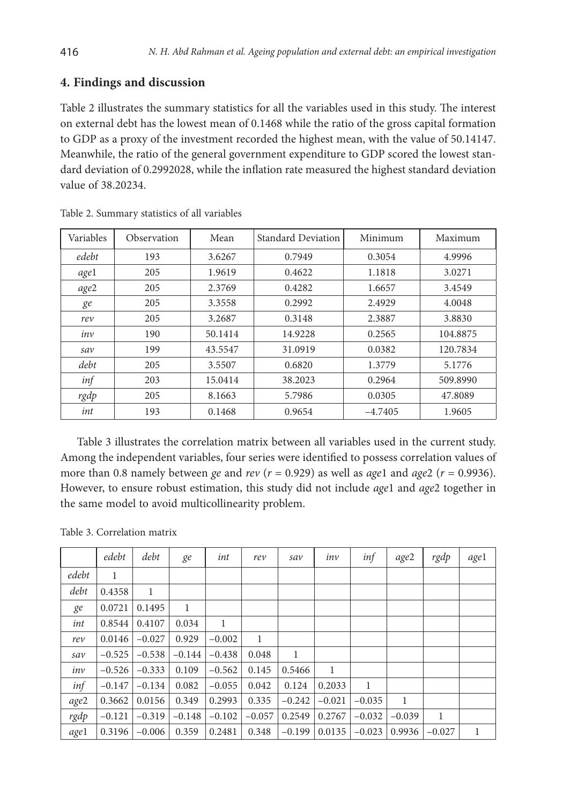# **4. Findings and discussion**

Table 2 illustrates the summary statistics for all the variables used in this study. The interest on external debt has the lowest mean of 0.1468 while the ratio of the gross capital formation to GDP as a proxy of the investment recorded the highest mean, with the value of 50.14147. Meanwhile, the ratio of the general government expenditure to GDP scored the lowest standard deviation of 0.2992028, while the inflation rate measured the highest standard deviation value of 38.20234.

| Variables | Observation | Mean    | <b>Standard Deviation</b> | Minimum   | Maximum  |  |
|-----------|-------------|---------|---------------------------|-----------|----------|--|
| edebt     | 193         | 3.6267  | 0.7949                    | 0.3054    | 4.9996   |  |
| agel      | 205         | 1.9619  | 0.4622                    | 1.1818    | 3.0271   |  |
| age2      | 205         | 2.3769  | 0.4282                    | 1.6657    | 3.4549   |  |
| ge        | 205         | 3.3558  | 0.2992                    | 2.4929    | 4.0048   |  |
| rev       | 205         | 3.2687  | 0.3148                    | 2.3887    | 3.8830   |  |
| inv       | 190         | 50.1414 | 14.9228                   | 0.2565    | 104.8875 |  |
| sav       | 199         | 43.5547 | 31.0919                   | 0.0382    | 120.7834 |  |
| debt      | 205         | 3.5507  | 0.6820                    | 1.3779    | 5.1776   |  |
| inf       | 203         | 15.0414 | 38.2023                   | 0.2964    | 509.8990 |  |
| rgdp      | 205         | 8.1663  | 5.7986                    | 0.0305    | 47.8089  |  |
| int       | 193         | 0.1468  | 0.9654                    | $-4.7405$ | 1.9605   |  |

Table 2. Summary statistics of all variables

Table 3 illustrates the correlation matrix between all variables used in the current study. Among the independent variables, four series were identified to possess correlation values of more than 0.8 namely between *ge* and *rev* ( $r = 0.929$ ) as well as *age*1 and *age2* ( $r = 0.9936$ ). However, to ensure robust estimation, this study did not include *age*1 and *age*2 together in the same model to avoid multicollinearity problem.

|  |  | Table 3. Correlation matrix |  |
|--|--|-----------------------------|--|
|  |  |                             |  |

|       | edebt    | debt     | ge           | int      | rev      | sav      | inv          | inf          | age2     | rgdp     | age1 |
|-------|----------|----------|--------------|----------|----------|----------|--------------|--------------|----------|----------|------|
| edebt | 1        |          |              |          |          |          |              |              |          |          |      |
| debt  | 0.4358   | 1        |              |          |          |          |              |              |          |          |      |
| ge    | 0.0721   | 0.1495   | $\mathbf{1}$ |          |          |          |              |              |          |          |      |
| int   | 0.8544   | 0.4107   | 0.034        | 1        |          |          |              |              |          |          |      |
| rev   | 0.0146   | $-0.027$ | 0.929        | $-0.002$ | 1        |          |              |              |          |          |      |
| sav   | $-0.525$ | $-0.538$ | $-0.144$     | $-0.438$ | 0.048    | 1        |              |              |          |          |      |
| inv   | $-0.526$ | $-0.333$ | 0.109        | $-0.562$ | 0.145    | 0.5466   | $\mathbf{1}$ |              |          |          |      |
| inf   | $-0.147$ | $-0.134$ | 0.082        | $-0.055$ | 0.042    | 0.124    | 0.2033       | $\mathbf{1}$ |          |          |      |
| age2  | 0.3662   | 0.0156   | 0.349        | 0.2993   | 0.335    | $-0.242$ | $-0.021$     | $-0.035$     | 1        |          |      |
| rgdp  | $-0.121$ | $-0.319$ | $-0.148$     | $-0.102$ | $-0.057$ | 0.2549   | 0.2767       | $-0.032$     | $-0.039$ | 1        |      |
| age1  | 0.3196   | $-0.006$ | 0.359        | 0.2481   | 0.348    | $-0.199$ | 0.0135       | $-0.023$     | 0.9936   | $-0.027$ | 1    |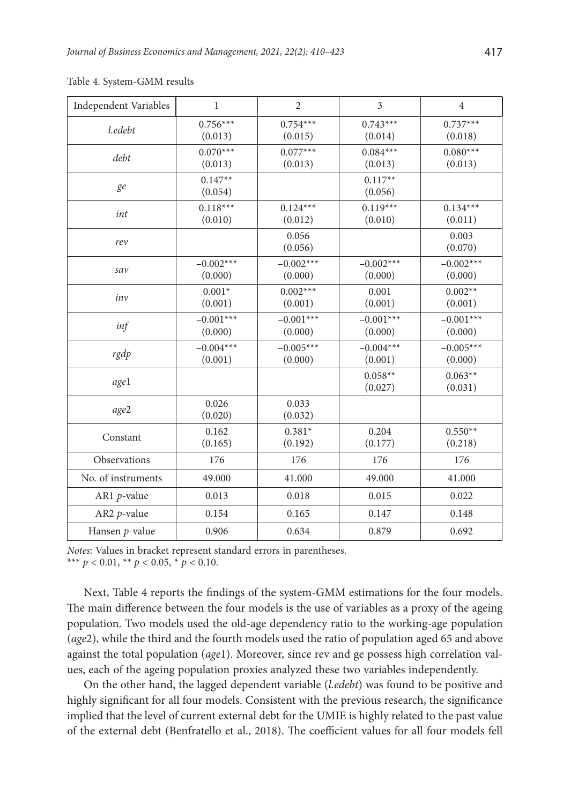| Independent Variables | $\mathbf{1}$           | $\overline{2}$         | $\overline{3}$         | $\overline{4}$         |
|-----------------------|------------------------|------------------------|------------------------|------------------------|
| l.edebt               | $0.756***$<br>(0.013)  | $0.754***$<br>(0.015)  | $0.743***$<br>(0.014)  | $0.737***$<br>(0.018)  |
| debt                  | $0.070***$<br>(0.013)  | $0.077***$<br>(0.013)  | $0.084***$<br>(0.013)  | $0.080***$<br>(0.013)  |
| ge                    | $0.147**$<br>(0.054)   |                        | $0.117**$<br>(0.056)   |                        |
| int                   | $0.118***$<br>(0.010)  | $0.124***$<br>(0.012)  | $0.119***$<br>(0.010)  | $0.134***$<br>(0.011)  |
| rev                   |                        | 0.056<br>(0.056)       |                        | 0.003<br>(0.070)       |
| sav                   | $-0.002***$<br>(0.000) | $-0.002***$<br>(0.000) | $-0.002***$<br>(0.000) | $-0.002***$<br>(0.000) |
| inv                   | $0.001*$<br>(0.001)    | $0.002***$<br>(0.001)  | 0.001<br>(0.001)       | $0.002**$<br>(0.001)   |
| inf                   | $-0.001***$<br>(0.000) | $-0.001***$<br>(0.000) | $-0.001***$<br>(0.000) | $-0.001***$<br>(0.000) |
| rgdp                  | $-0.004***$<br>(0.001) | $-0.005***$<br>(0.000) | $-0.004***$<br>(0.001) | $-0.005***$<br>(0.000) |
| age1                  |                        |                        | $0.058**$<br>(0.027)   | $0.063**$<br>(0.031)   |
| age2                  | 0.026<br>(0.020)       | 0.033<br>(0.032)       |                        |                        |
| Constant              | 0.162<br>(0.165)       | $0.381*$<br>(0.192)    | 0.204<br>(0.177)       | $0.550**$<br>(0.218)   |
| Observations          | 176                    | 176                    | 176                    | 176                    |
| No. of instruments    | 49.000                 | 41.000                 | 49.000                 | 41.000                 |
| AR1 $p$ -value        | 0.013                  | 0.018                  | 0.015                  | 0.022                  |
| AR2 $p$ -value        | 0.154                  | 0.165                  | 0.147                  | 0.148                  |
| Hansen p-value        | 0.906                  | 0.634                  | 0.879                  | 0.692                  |

Table 4. System-GMM results

*Notes*: Values in bracket represent standard errors in parentheses.

\*\*\*  $p < 0.01$ , \*\*  $p < 0.05$ , \*  $p < 0.10$ .

Next, Table 4 reports the findings of the system-GMM estimations for the four models. The main difference between the four models is the use of variables as a proxy of the ageing population. Two models used the old-age dependency ratio to the working-age population (*age*2), while the third and the fourth models used the ratio of population aged 65 and above against the total population (*age*1). Moreover, since rev and ge possess high correlation values, each of the ageing population proxies analyzed these two variables independently.

On the other hand, the lagged dependent variable (*l.edebt*) was found to be positive and highly significant for all four models. Consistent with the previous research, the significance implied that the level of current external debt for the UMIE is highly related to the past value of the external debt (Benfratello et al., 2018). The coefficient values for all four models fell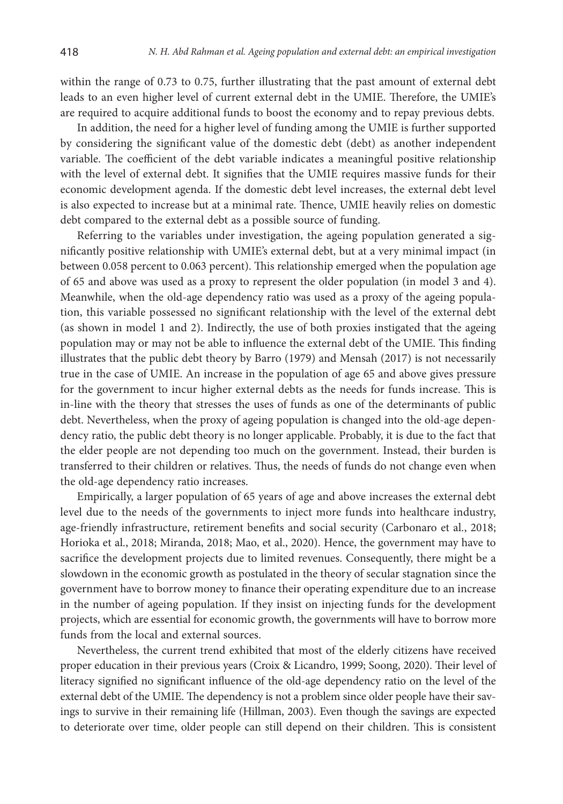within the range of 0.73 to 0.75, further illustrating that the past amount of external debt leads to an even higher level of current external debt in the UMIE. Therefore, the UMIE's are required to acquire additional funds to boost the economy and to repay previous debts.

In addition, the need for a higher level of funding among the UMIE is further supported by considering the significant value of the domestic debt (debt) as another independent variable. The coefficient of the debt variable indicates a meaningful positive relationship with the level of external debt. It signifies that the UMIE requires massive funds for their economic development agenda. If the domestic debt level increases, the external debt level is also expected to increase but at a minimal rate. Thence, UMIE heavily relies on domestic debt compared to the external debt as a possible source of funding.

Referring to the variables under investigation, the ageing population generated a significantly positive relationship with UMIE's external debt, but at a very minimal impact (in between 0.058 percent to 0.063 percent). This relationship emerged when the population age of 65 and above was used as a proxy to represent the older population (in model 3 and 4). Meanwhile, when the old-age dependency ratio was used as a proxy of the ageing population, this variable possessed no significant relationship with the level of the external debt (as shown in model 1 and 2). Indirectly, the use of both proxies instigated that the ageing population may or may not be able to influence the external debt of the UMIE. This finding illustrates that the public debt theory by Barro (1979) and Mensah (2017) is not necessarily true in the case of UMIE. An increase in the population of age 65 and above gives pressure for the government to incur higher external debts as the needs for funds increase. This is in-line with the theory that stresses the uses of funds as one of the determinants of public debt. Nevertheless, when the proxy of ageing population is changed into the old-age dependency ratio, the public debt theory is no longer applicable. Probably, it is due to the fact that the elder people are not depending too much on the government. Instead, their burden is transferred to their children or relatives. Thus, the needs of funds do not change even when the old-age dependency ratio increases.

Empirically, a larger population of 65 years of age and above increases the external debt level due to the needs of the governments to inject more funds into healthcare industry, age-friendly infrastructure, retirement benefits and social security (Carbonaro et al., 2018; Horioka et al., 2018; Miranda, 2018; Mao, et al., 2020). Hence, the government may have to sacrifice the development projects due to limited revenues. Consequently, there might be a slowdown in the economic growth as postulated in the theory of secular stagnation since the government have to borrow money to finance their operating expenditure due to an increase in the number of ageing population. If they insist on injecting funds for the development projects, which are essential for economic growth, the governments will have to borrow more funds from the local and external sources.

Nevertheless, the current trend exhibited that most of the elderly citizens have received proper education in their previous years (Croix & Licandro, 1999; Soong, 2020). Their level of literacy signified no significant influence of the old-age dependency ratio on the level of the external debt of the UMIE. The dependency is not a problem since older people have their savings to survive in their remaining life (Hillman, 2003). Even though the savings are expected to deteriorate over time, older people can still depend on their children. This is consistent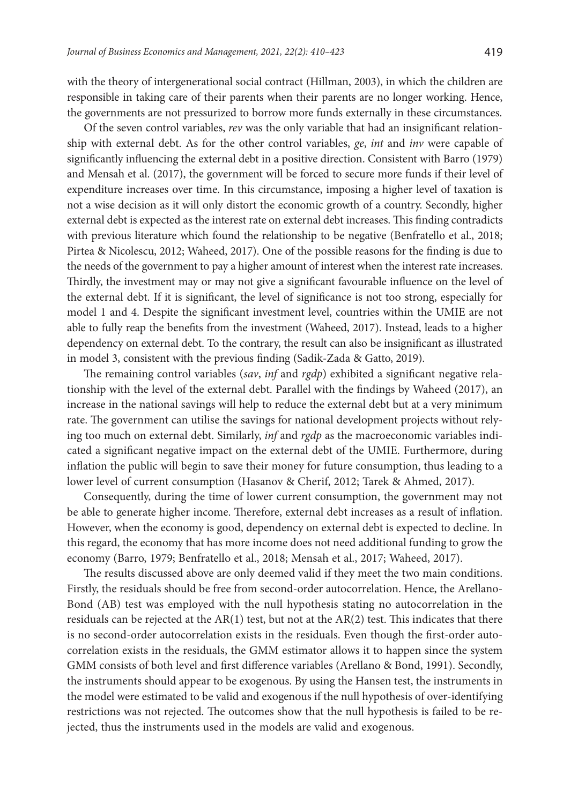with the theory of intergenerational social contract (Hillman, 2003), in which the children are responsible in taking care of their parents when their parents are no longer working. Hence, the governments are not pressurized to borrow more funds externally in these circumstances.

Of the seven control variables, *rev* was the only variable that had an insignificant relationship with external debt. As for the other control variables, *ge*, *int* and *inv* were capable of significantly influencing the external debt in a positive direction. Consistent with Barro (1979) and Mensah et al. (2017), the government will be forced to secure more funds if their level of expenditure increases over time. In this circumstance, imposing a higher level of taxation is not a wise decision as it will only distort the economic growth of a country. Secondly, higher external debt is expected as the interest rate on external debt increases. This finding contradicts with previous literature which found the relationship to be negative (Benfratello et al., 2018; Pirtea & Nicolescu, 2012; Waheed, 2017). One of the possible reasons for the finding is due to the needs of the government to pay a higher amount of interest when the interest rate increases. Thirdly, the investment may or may not give a significant favourable influence on the level of the external debt. If it is significant, the level of significance is not too strong, especially for model 1 and 4. Despite the significant investment level, countries within the UMIE are not able to fully reap the benefits from the investment (Waheed, 2017). Instead, leads to a higher dependency on external debt. To the contrary, the result can also be insignificant as illustrated in model 3, consistent with the previous finding (Sadik-Zada & Gatto, 2019).

The remaining control variables (*sav*, *inf* and *rgdp*) exhibited a significant negative relationship with the level of the external debt. Parallel with the findings by Waheed (2017), an increase in the national savings will help to reduce the external debt but at a very minimum rate. The government can utilise the savings for national development projects without relying too much on external debt. Similarly, *inf* and *rgdp* as the macroeconomic variables indicated a significant negative impact on the external debt of the UMIE. Furthermore, during inflation the public will begin to save their money for future consumption, thus leading to a lower level of current consumption (Hasanov & Cherif, 2012; Tarek & Ahmed, 2017).

Consequently, during the time of lower current consumption, the government may not be able to generate higher income. Therefore, external debt increases as a result of inflation. However, when the economy is good, dependency on external debt is expected to decline. In this regard, the economy that has more income does not need additional funding to grow the economy (Barro, 1979; Benfratello et al., 2018; Mensah et al., 2017; Waheed, 2017).

The results discussed above are only deemed valid if they meet the two main conditions. Firstly, the residuals should be free from second-order autocorrelation. Hence, the Arellano-Bond (AB) test was employed with the null hypothesis stating no autocorrelation in the residuals can be rejected at the  $AR(1)$  test, but not at the  $AR(2)$  test. This indicates that there is no second-order autocorrelation exists in the residuals. Even though the first-order autocorrelation exists in the residuals, the GMM estimator allows it to happen since the system GMM consists of both level and first difference variables (Arellano & Bond, 1991). Secondly, the instruments should appear to be exogenous. By using the Hansen test, the instruments in the model were estimated to be valid and exogenous if the null hypothesis of over-identifying restrictions was not rejected. The outcomes show that the null hypothesis is failed to be rejected, thus the instruments used in the models are valid and exogenous.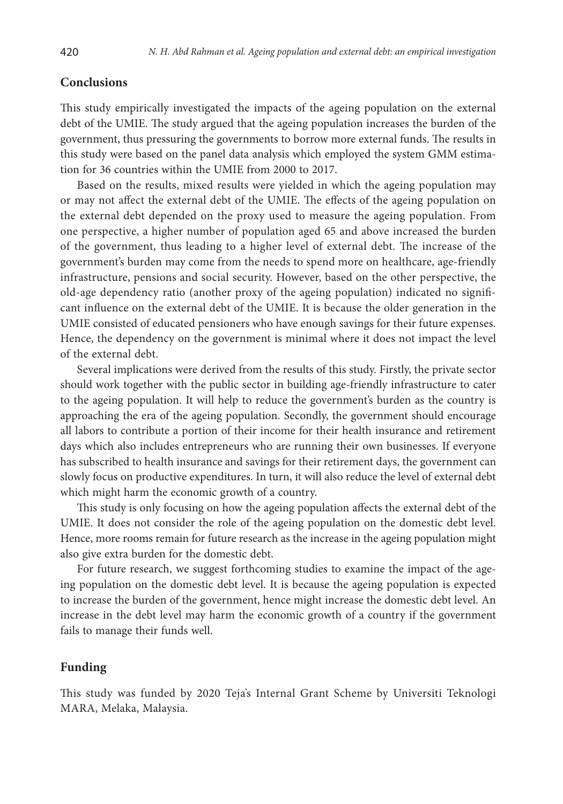## **Conclusions**

This study empirically investigated the impacts of the ageing population on the external debt of the UMIE. The study argued that the ageing population increases the burden of the government, thus pressuring the governments to borrow more external funds. The results in this study were based on the panel data analysis which employed the system GMM estimation for 36 countries within the UMIE from 2000 to 2017.

Based on the results, mixed results were yielded in which the ageing population may or may not affect the external debt of the UMIE. The effects of the ageing population on the external debt depended on the proxy used to measure the ageing population. From one perspective, a higher number of population aged 65 and above increased the burden of the government, thus leading to a higher level of external debt. The increase of the government's burden may come from the needs to spend more on healthcare, age-friendly infrastructure, pensions and social security. However, based on the other perspective, the old-age dependency ratio (another proxy of the ageing population) indicated no significant influence on the external debt of the UMIE. It is because the older generation in the UMIE consisted of educated pensioners who have enough savings for their future expenses. Hence, the dependency on the government is minimal where it does not impact the level of the external debt.

Several implications were derived from the results of this study. Firstly, the private sector should work together with the public sector in building age-friendly infrastructure to cater to the ageing population. It will help to reduce the government's burden as the country is approaching the era of the ageing population. Secondly, the government should encourage all labors to contribute a portion of their income for their health insurance and retirement days which also includes entrepreneurs who are running their own businesses. If everyone has subscribed to health insurance and savings for their retirement days, the government can slowly focus on productive expenditures. In turn, it will also reduce the level of external debt which might harm the economic growth of a country.

This study is only focusing on how the ageing population affects the external debt of the UMIE. It does not consider the role of the ageing population on the domestic debt level. Hence, more rooms remain for future research as the increase in the ageing population might also give extra burden for the domestic debt.

For future research, we suggest forthcoming studies to examine the impact of the ageing population on the domestic debt level. It is because the ageing population is expected to increase the burden of the government, hence might increase the domestic debt level. An increase in the debt level may harm the economic growth of a country if the government fails to manage their funds well.

## **Funding**

This study was funded by 2020 Teja's Internal Grant Scheme by Universiti Teknologi MARA, Melaka, Malaysia.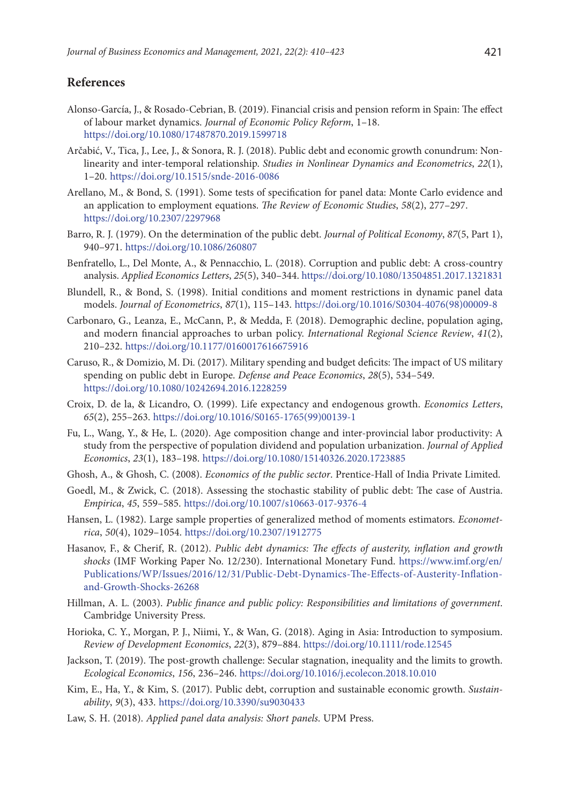## **References**

- Alonso-García, J., & Rosado-Cebrian, B. (2019). Financial crisis and pension reform in Spain: The effect of labour market dynamics. *Journal of Economic Policy Reform*, 1–18. <https://doi.org/10.1080/17487870.2019.1599718>
- Arčabić, V., Tica, J., Lee, J., & Sonora, R. J. (2018). Public debt and economic growth conundrum: Nonlinearity and inter-temporal relationship. *Studies in Nonlinear Dynamics and Econometrics*, *22*(1), 1–20. <https://doi.org/10.1515/snde-2016-0086>
- Arellano, M., & Bond, S. (1991). Some tests of specification for panel data: Monte Carlo evidence and an application to employment equations. *The Review of Economic Studies*, *58*(2), 277–297. <https://doi.org/10.2307/2297968>
- Barro, R. J. (1979). On the determination of the public debt. *Journal of Political Economy*, *87*(5, Part 1), 940–971. <https://doi.org/10.1086/260807>
- Benfratello, L., Del Monte, A., & Pennacchio, L. (2018). Corruption and public debt: A cross-country analysis. *Applied Economics Letters*, *25*(5), 340–344.<https://doi.org/10.1080/13504851.2017.1321831>
- Blundell, R., & Bond, S. (1998). Initial conditions and moment restrictions in dynamic panel data models. *Journal of Econometrics*, *87*(1), 115–143. [https://doi.org/10.1016/S0304-4076\(98\)00009-8](https://doi.org/10.1016/S0304-4076(98)00009-8)
- Carbonaro, G., Leanza, E., McCann, P., & Medda, F. (2018). Demographic decline, population aging, and modern financial approaches to urban policy. *International Regional Science Review*, *41*(2), 210–232. <https://doi.org/10.1177/0160017616675916>
- Caruso, R., & Domizio, M. Di. (2017). Military spending and budget deficits: The impact of US military spending on public debt in Europe. *Defense and Peace Economics*, *28*(5), 534–549. <https://doi.org/10.1080/10242694.2016.1228259>
- Croix, D. de la, & Licandro, O. (1999). Life expectancy and endogenous growth. *Economics Letters*, *65*(2), 255–263. [https://doi.org/10.1016/S0165-1765\(99\)00139-1](https://doi.org/10.1016/S0165-1765(99)00139-1)
- Fu, L., Wang, Y., & He, L. (2020). Age composition change and inter-provincial labor productivity: A study from the perspective of population dividend and population urbanization. *Journal of Applied Economics*, *23*(1), 183–198. <https://doi.org/10.1080/15140326.2020.1723885>
- Ghosh, A., & Ghosh, C. (2008). *Economics of the public sector*. Prentice-Hall of India Private Limited.
- Goedl, M., & Zwick, C. (2018). Assessing the stochastic stability of public debt: The case of Austria. *Empirica*, *45*, 559–585. <https://doi.org/10.1007/s10663-017-9376-4>
- Hansen, L. (1982). Large sample properties of generalized method of moments estimators. *Econometrica*, *50*(4), 1029–1054. <https://doi.org/10.2307/1912775>
- Hasanov, F., & Cherif, R. (2012). *Public debt dynamics: The effects of austerity, inflation and growth shocks* (IMF Working Paper No. 12/230). International Monetary Fund. [https://www.imf.org/en/](https://www.imf.org/en/Publications/WP/Issues/2016/12/31/Public-Debt-Dynamics-The-Effects-of-Austerity-Inflation-and-Growth-Shocks-26268) [Publications/WP/Issues/2016/12/31/Public-Debt-Dynamics-The-Effects-of-Austerity-Inflation](https://www.imf.org/en/Publications/WP/Issues/2016/12/31/Public-Debt-Dynamics-The-Effects-of-Austerity-Inflation-and-Growth-Shocks-26268)[and-Growth-Shocks-26268](https://www.imf.org/en/Publications/WP/Issues/2016/12/31/Public-Debt-Dynamics-The-Effects-of-Austerity-Inflation-and-Growth-Shocks-26268)
- Hillman, A. L. (2003). *Public finance and public policy: Responsibilities and limitations of government*. Cambridge University Press.
- Horioka, C. Y., Morgan, P. J., Niimi, Y., & Wan, G. (2018). Aging in Asia: Introduction to symposium. *Review of Development Economics*, *22*(3), 879–884. <https://doi.org/10.1111/rode.12545>
- Jackson, T. (2019). The post-growth challenge: Secular stagnation, inequality and the limits to growth. *Ecological Economics*, *156*, 236–246. <https://doi.org/10.1016/j.ecolecon.2018.10.010>
- Kim, E., Ha, Y., & Kim, S. (2017). Public debt, corruption and sustainable economic growth. *Sustainability*, *9*(3), 433. [https://doi.org/10.3390/su9030433](https://doi.org/10.1016/j.ecolecon.2018.10.010)
- Law, S. H. (2018). *Applied panel data analysis: Short panels*. UPM Press.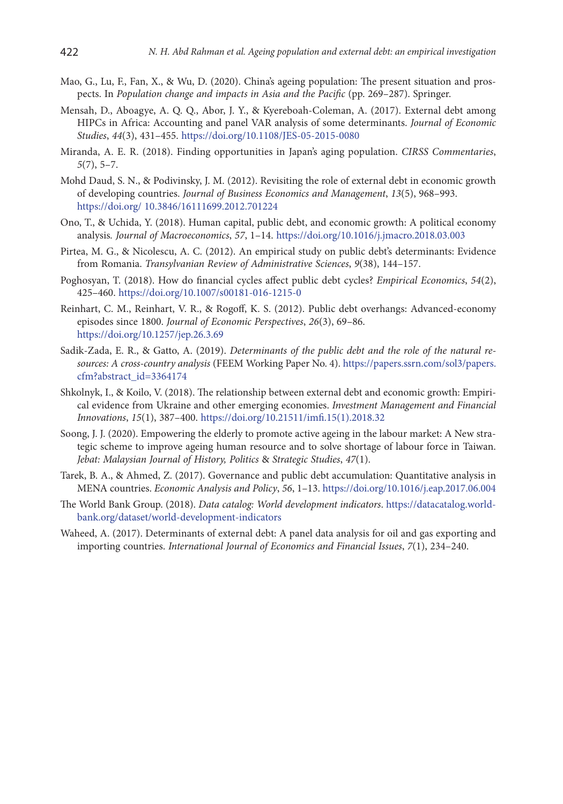- Mao, G., Lu, F., Fan, X., & Wu, D. (2020). China's ageing population: The present situation and prospects. In *Population change and impacts in Asia and the Pacific* (pp. 269–287). Springer.
- Mensah, D., Aboagye, A. Q. Q., Abor, J. Y., & Kyereboah-Coleman, A. (2017). External debt among HIPCs in Africa: Accounting and panel VAR analysis of some determinants. *Journal of Economic Studies*, *44*(3), 431–455.<https://doi.org/10.1108/JES-05-2015-0080>
- Miranda, A. E. R. (2018). Finding opportunities in Japan's aging population. *CIRSS Commentaries*, *5*(7), 5–7.
- Mohd Daud, S. N., & Podivinsky, J. M. (2012). Revisiting the role of external debt in economic growth of developing countries. *Journal of Business Economics and Management*, *13*(5), 968–993. https://doi.org/ 10.3846/16111699.2012.701224
- Ono, T., & Uchida, Y. (2018). Human capital, public debt, and economic growth: A political economy analysis*. Journal of Macroeconomics*, *57*, 1–14. <https://doi.org/10.1016/j.jmacro.2018.03.003>
- Pirtea, M. G., & Nicolescu, A. C. (2012). An empirical study on public debt's determinants: Evidence from Romania. *Transylvanian Review of Administrative Sciences*, *9*(38), 144–157.
- Poghosyan, T. (2018). How do financial cycles affect public debt cycles? *Empirical Economics*, *54*(2), 425–460. <https://doi.org/10.1007/s00181-016-1215-0>
- Reinhart, C. M., Reinhart, V. R., & Rogoff, K. S. (2012). Public debt overhangs: Advanced-economy episodes since 1800. *Journal of Economic Perspectives*, *26*(3), 69–86. https://doi.org/[10.1257/jep.26.3.69](http://dx.doi.org/10.1257/jep.26.3.69)
- Sadik-Zada, E. R., & Gatto, A. (2019). *Determinants of the public debt and the role of the natural resources: A cross-country analysis* (FEEM Working Paper No. 4). [https://papers.ssrn.com/sol3/papers.](https://papers.ssrn.com/sol3/papers.cfm?abstract_id=3364174) [cfm?abstract\\_id=3364174](https://papers.ssrn.com/sol3/papers.cfm?abstract_id=3364174)
- Shkolnyk, I., & Koilo, V. (2018). The relationship between external debt and economic growth: Empirical evidence from Ukraine and other emerging economies. *Investment Management and Financial Innovations*, *15*(1), 387–400. https://doi.org[/10.21511/imfi.15\(1\).2018.32](http://dx.doi.org/10.21511/imfi.15(1).2018.32)
- Soong, J. J. (2020). Empowering the elderly to promote active ageing in the labour market: A New strategic scheme to improve ageing human resource and to solve shortage of labour force in Taiwan. *Jebat: Malaysian Journal of History, Politics* & *Strategic Studies*, *47*(1).
- Tarek, B. A., & Ahmed, Z. (2017). Governance and public debt accumulation: Quantitative analysis in MENA countries. *Economic Analysis and Policy*, *56*, 1–13. <https://doi.org/10.1016/j.eap.2017.06.004>
- The World Bank Group. (2018). *Data catalog: World development indicators*. [https://datacatalog.world](https://datacatalog.worldbank.org/dataset/world-development-indicators)[bank.org/dataset/world-development-indicators](https://datacatalog.worldbank.org/dataset/world-development-indicators)
- Waheed, A. (2017). Determinants of external debt: A panel data analysis for oil and gas exporting and importing countries. *International Journal of Economics and Financial Issues*, *7*(1), 234–240.